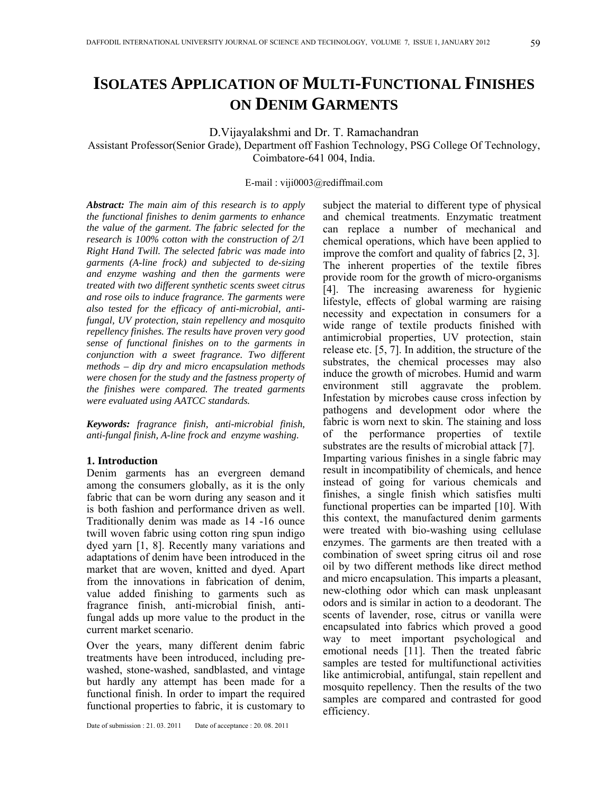# **ISOLATES APPLICATION OF MULTI-FUNCTIONAL FINISHES ON DENIM GARMENTS**

D.Vijayalakshmi and Dr. T. Ramachandran

Assistant Professor(Senior Grade), Department off Fashion Technology, PSG College Of Technology, Coimbatore-641 004, India.

E-mail : viji0003@rediffmail.com

*Abstract: The main aim of this research is to apply the functional finishes to denim garments to enhance the value of the garment. The fabric selected for the research is 100% cotton with the construction of 2/1 Right Hand Twill. The selected fabric was made into garments (A-line frock) and subjected to de-sizing and enzyme washing and then the garments were treated with two different synthetic scents sweet citrus and rose oils to induce fragrance. The garments were also tested for the efficacy of anti-microbial, antifungal, UV protection, stain repellency and mosquito repellency finishes. The results have proven very good sense of functional finishes on to the garments in conjunction with a sweet fragrance. Two different methods – dip dry and micro encapsulation methods were chosen for the study and the fastness property of the finishes were compared. The treated garments were evaluated using AATCC standards.* 

*Keywords: fragrance finish, anti-microbial finish, anti-fungal finish, A-line frock and enzyme washing.* 

#### **1. Introduction**

Denim garments has an evergreen demand among the consumers globally, as it is the only fabric that can be worn during any season and it is both fashion and performance driven as well. Traditionally denim was made as 14 -16 ounce twill woven fabric using cotton ring spun indigo dyed yarn [1, 8]. Recently many variations and adaptations of denim have been introduced in the market that are woven, knitted and dyed. Apart from the innovations in fabrication of denim, value added finishing to garments such as fragrance finish, anti-microbial finish, antifungal adds up more value to the product in the current market scenario.

Over the years, many different denim fabric treatments have been introduced, including prewashed, stone-washed, sandblasted, and vintage but hardly any attempt has been made for a functional finish. In order to impart the required functional properties to fabric, it is customary to

Date of submission : 21.03.2011 Date of acceptance : 20.08.2011

subject the material to different type of physical and chemical treatments. Enzymatic treatment can replace a number of mechanical and chemical operations, which have been applied to improve the comfort and quality of fabrics [2, 3]. The inherent properties of the textile fibres provide room for the growth of micro-organisms [4]. The increasing awareness for hygienic lifestyle, effects of global warming are raising necessity and expectation in consumers for a wide range of textile products finished with antimicrobial properties, UV protection, stain release etc. [5, 7]. In addition, the structure of the substrates, the chemical processes may also induce the growth of microbes. Humid and warm environment still aggravate the problem. Infestation by microbes cause cross infection by pathogens and development odor where the fabric is worn next to skin. The staining and loss of the performance properties of textile substrates are the results of microbial attack [7]. Imparting various finishes in a single fabric may result in incompatibility of chemicals, and hence instead of going for various chemicals and finishes, a single finish which satisfies multi functional properties can be imparted [10]. With this context, the manufactured denim garments were treated with bio-washing using cellulase enzymes. The garments are then treated with a combination of sweet spring citrus oil and rose oil by two different methods like direct method and micro encapsulation. This imparts a pleasant, new-clothing odor which can mask unpleasant odors and is similar in action to a deodorant. The scents of lavender, rose, citrus or vanilla were encapsulated into fabrics which proved a good way to meet important psychological and emotional needs [11]. Then the treated fabric samples are tested for multifunctional activities like antimicrobial, antifungal, stain repellent and mosquito repellency. Then the results of the two samples are compared and contrasted for good efficiency.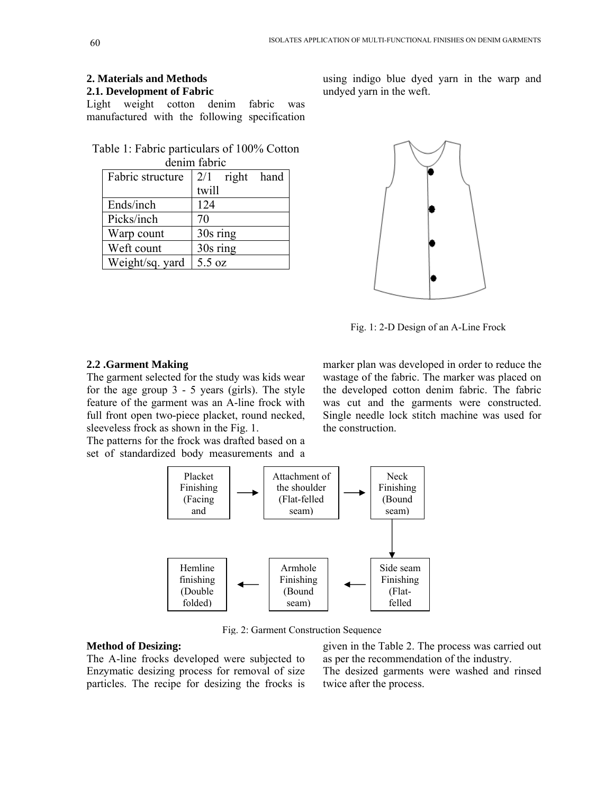# **2. Materials and Methods**

# **2.1. Development of Fabric**

Light weight cotton denim fabric was manufactured with the following specification

| Table 1: Fabric particulars of 100% Cotton |  |  |
|--------------------------------------------|--|--|
| denim fabric                               |  |  |

| Fabric structure | 2/1<br>right hand |
|------------------|-------------------|
|                  | twill             |
| Ends/inch        | 124               |
| Picks/inch       | 70                |
| Warp count       | 30s ring          |
| Weft count       | 30s ring          |
| Weight/sq. yard  | 5.5 oz            |

using indigo blue dyed yarn in the warp and undyed yarn in the weft.



Fig. 1: 2-D Design of an A-Line Frock

#### **2.2 .Garment Making**

The garment selected for the study was kids wear for the age group 3 - 5 years (girls). The style feature of the garment was an A-line frock with full front open two-piece placket, round necked, sleeveless frock as shown in the Fig. 1.

The patterns for the frock was drafted based on a set of standardized body measurements and a

marker plan was developed in order to reduce the wastage of the fabric. The marker was placed on the developed cotton denim fabric. The fabric was cut and the garments were constructed. Single needle lock stitch machine was used for the construction.



Fig. 2: Garment Construction Sequence

#### **Method of Desizing:**

The A-line frocks developed were subjected to Enzymatic desizing process for removal of size particles. The recipe for desizing the frocks is given in the Table 2. The process was carried out as per the recommendation of the industry. The desized garments were washed and rinsed twice after the process.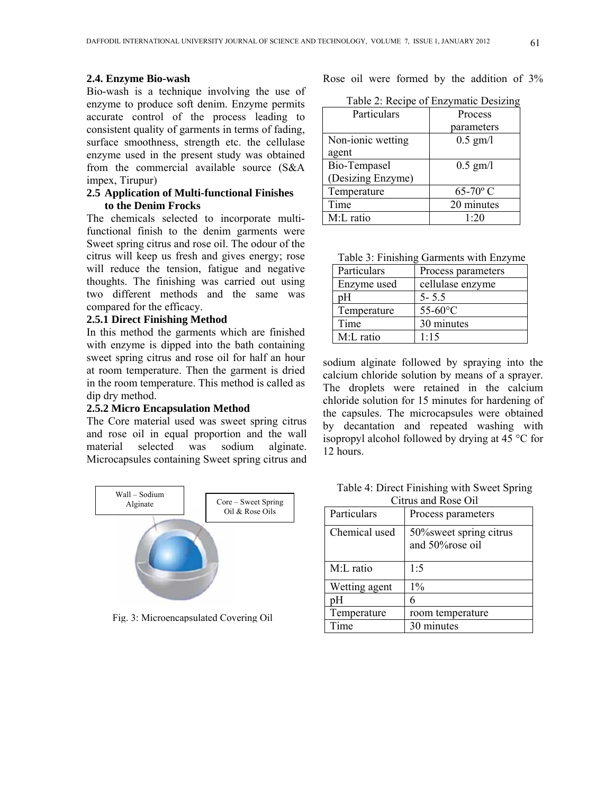#### **2.4. Enzyme Bio-wash**

Bio-wash is a technique involving the use of enzyme to produce soft denim. Enzyme permits accurate control of the process leading to consistent quality of garments in terms of fading, surface smoothness, strength etc. the cellulase enzyme used in the present study was obtained from the commercial available source (S&A impex, Tirupur)

## **2.5 Application of Multi-functional Finishes to the Denim Frocks**

The chemicals selected to incorporate multifunctional finish to the denim garments were Sweet spring citrus and rose oil. The odour of the citrus will keep us fresh and gives energy; rose will reduce the tension, fatigue and negative thoughts. The finishing was carried out using two different methods and the same was compared for the efficacy.

#### **2.5.1 Direct Finishing Method**

In this method the garments which are finished with enzyme is dipped into the bath containing sweet spring citrus and rose oil for half an hour at room temperature. Then the garment is dried in the room temperature. This method is called as dip dry method.

#### **2.5.2 Micro Encapsulation Method**

The Core material used was sweet spring citrus and rose oil in equal proportion and the wall material selected was sodium alginate. Microcapsules containing Sweet spring citrus and



Fig. 3: Microencapsulated Covering Oil

Rose oil were formed by the addition of 3%

Table 2: Recipe of Enzymatic Desizing

| Particulars       | Process    |
|-------------------|------------|
|                   | parameters |
| Non-ionic wetting | $0.5$ gm/l |
| agent             |            |
| Bio-Tempasel      | $0.5$ gm/l |
| (Desizing Enzyme) |            |
| Temperature       | $65-70$ °C |
| Time              | 20 minutes |
| M:L ratio         | 1.20       |

| Table 3: Finishing Garments with Enzyme |  |  |
|-----------------------------------------|--|--|
|                                         |  |  |

| Particulars | Process parameters |
|-------------|--------------------|
| Enzyme used | cellulase enzyme   |
| pН          | $5 - 5.5$          |
| Temperature | $55-60$ °C         |
| Time        | 30 minutes         |
| M:L ratio   | 1.15               |

sodium alginate followed by spraying into the calcium chloride solution by means of a sprayer. The droplets were retained in the calcium chloride solution for 15 minutes for hardening of the capsules. The microcapsules were obtained by decantation and repeated washing with isopropyl alcohol followed by drying at 45 °C for 12 hours.

Table 4: Direct Finishing with Sweet Spring Citrus and Rose Oil

| Particulars   | Process parameters                         |  |
|---------------|--------------------------------------------|--|
| Chemical used | 50% sweet spring citrus<br>and 50%rose oil |  |
| M:L ratio     | 1.5                                        |  |
| Wetting agent | $1\%$                                      |  |
| рH            | 6                                          |  |
| Temperature   | room temperature                           |  |
| Time          | 30 minutes                                 |  |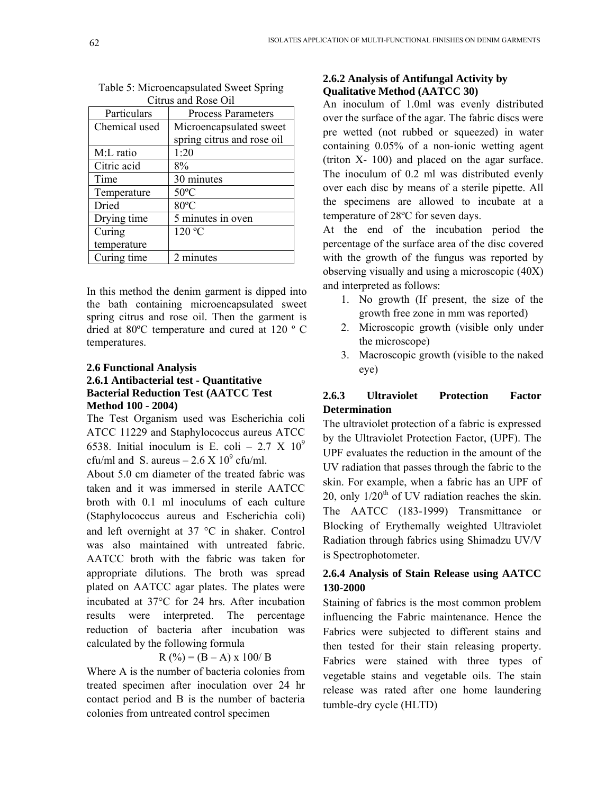| UNINI ANG NUSU UN |                            |  |
|-------------------|----------------------------|--|
| Particulars       | <b>Process Parameters</b>  |  |
| Chemical used     | Microencapsulated sweet    |  |
|                   | spring citrus and rose oil |  |
| M:L ratio         | 1:20                       |  |
| Citric acid       | 8%                         |  |
| Time              | 30 minutes                 |  |
| Temperature       | $50^{\circ}$ C             |  |
| Dried             | 80°C                       |  |
| Drying time       | 5 minutes in oven          |  |
| Curing            | 120 °C                     |  |
| temperature       |                            |  |
| Curing time       | 2 minutes                  |  |

| Table 5: Microencapsulated Sweet Spring |  |
|-----------------------------------------|--|
| Citrus and Rose Oil                     |  |

In this method the denim garment is dipped into the bath containing microencapsulated sweet spring citrus and rose oil. Then the garment is dried at 80ºC temperature and cured at 120 º C temperatures.

# **2.6 Functional Analysis 2.6.1 Antibacterial test - Quantitative Bacterial Reduction Test (AATCC Test Method 100 - 2004)**

The Test Organism used was Escherichia coli ATCC 11229 and Staphylococcus aureus ATCC 6538. Initial inoculum is E. coli – 2.7 X  $10^9$ cfu/ml and S. aureus  $-2.6 \times 10^9$  cfu/ml.

About 5.0 cm diameter of the treated fabric was taken and it was immersed in sterile AATCC broth with 0.1 ml inoculums of each culture (Staphylococcus aureus and Escherichia coli) and left overnight at 37 °C in shaker. Control was also maintained with untreated fabric. AATCC broth with the fabric was taken for appropriate dilutions. The broth was spread plated on AATCC agar plates. The plates were incubated at 37°C for 24 hrs. After incubation results were interpreted. The percentage reduction of bacteria after incubation was calculated by the following formula

$$
R(^{0}\%)=(B-A) \times 100/B
$$

Where A is the number of bacteria colonies from treated specimen after inoculation over 24 hr contact period and B is the number of bacteria colonies from untreated control specimen

## **2.6.2 Analysis of Antifungal Activity by Qualitative Method (AATCC 30)**

An inoculum of 1.0ml was evenly distributed over the surface of the agar. The fabric discs were pre wetted (not rubbed or squeezed) in water containing 0.05% of a non-ionic wetting agent (triton X- 100) and placed on the agar surface. The inoculum of 0.2 ml was distributed evenly over each disc by means of a sterile pipette. All the specimens are allowed to incubate at a temperature of 28ºC for seven days.

At the end of the incubation period the percentage of the surface area of the disc covered with the growth of the fungus was reported by observing visually and using a microscopic (40X) and interpreted as follows:

- 1. No growth (If present, the size of the growth free zone in mm was reported)
- 2. Microscopic growth (visible only under the microscope)
- 3. Macroscopic growth (visible to the naked eye)

# **2.6.3 Ultraviolet Protection Factor Determination**

The ultraviolet protection of a fabric is expressed by the Ultraviolet Protection Factor, (UPF). The UPF evaluates the reduction in the amount of the UV radiation that passes through the fabric to the skin. For example, when a fabric has an UPF of 20, only  $1/20<sup>th</sup>$  of UV radiation reaches the skin. The AATCC (183-1999) Transmittance or Blocking of Erythemally weighted Ultraviolet Radiation through fabrics using Shimadzu UV/V is Spectrophotometer.

# **2.6.4 Analysis of Stain Release using AATCC 130-2000**

Staining of fabrics is the most common problem influencing the Fabric maintenance. Hence the Fabrics were subjected to different stains and then tested for their stain releasing property. Fabrics were stained with three types of vegetable stains and vegetable oils. The stain release was rated after one home laundering tumble-dry cycle (HLTD)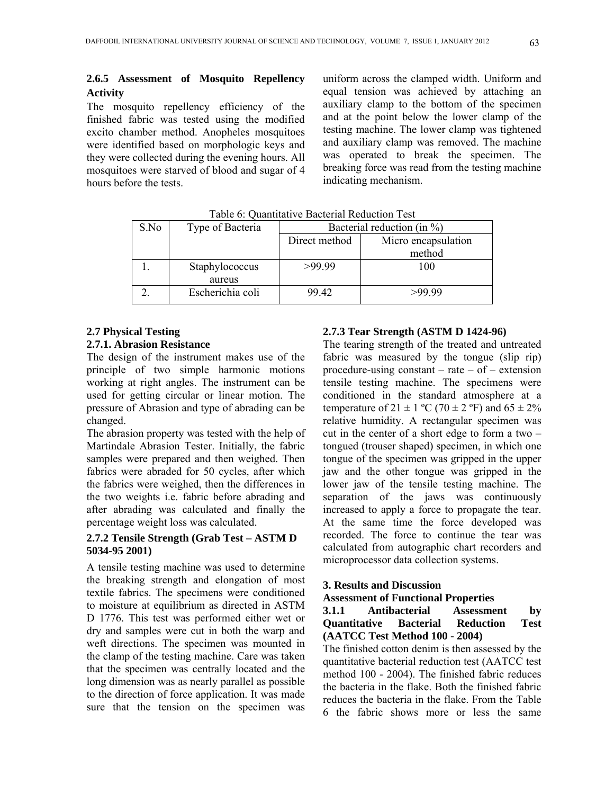# **2.6.5 Assessment of Mosquito Repellency Activity**

The mosquito repellency efficiency of the finished fabric was tested using the modified excito chamber method. Anopheles mosquitoes were identified based on morphologic keys and they were collected during the evening hours. All mosquitoes were starved of blood and sugar of 4 hours before the tests.

uniform across the clamped width. Uniform and equal tension was achieved by attaching an auxiliary clamp to the bottom of the specimen and at the point below the lower clamp of the testing machine. The lower clamp was tightened and auxiliary clamp was removed. The machine was operated to break the specimen. The breaking force was read from the testing machine indicating mechanism.

| S.No | Type of Bacteria | Bacterial reduction (in %) |                     |
|------|------------------|----------------------------|---------------------|
|      |                  | Direct method              | Micro encapsulation |
|      |                  |                            | method              |
|      | Staphylococcus   | >99.99                     | 100                 |
|      | aureus           |                            |                     |
|      | Escherichia coli | 99.42                      | >99.99              |

Table 6: Quantitative Bacterial Reduction Test

# **2.7 Physical Testing**

## **2.7.1. Abrasion Resistance**

The design of the instrument makes use of the principle of two simple harmonic motions working at right angles. The instrument can be used for getting circular or linear motion. The pressure of Abrasion and type of abrading can be changed.

The abrasion property was tested with the help of Martindale Abrasion Tester. Initially, the fabric samples were prepared and then weighed. Then fabrics were abraded for 50 cycles, after which the fabrics were weighed, then the differences in the two weights i.e. fabric before abrading and after abrading was calculated and finally the percentage weight loss was calculated.

## **2.7.2 Tensile Strength (Grab Test – ASTM D 5034-95 2001)**

A tensile testing machine was used to determine the breaking strength and elongation of most textile fabrics. The specimens were conditioned to moisture at equilibrium as directed in ASTM D 1776. This test was performed either wet or dry and samples were cut in both the warp and weft directions. The specimen was mounted in the clamp of the testing machine. Care was taken that the specimen was centrally located and the long dimension was as nearly parallel as possible to the direction of force application. It was made sure that the tension on the specimen was

#### **2.7.3 Tear Strength (ASTM D 1424-96)**

The tearing strength of the treated and untreated fabric was measured by the tongue (slip rip) procedure-using constant – rate – of – extension tensile testing machine. The specimens were conditioned in the standard atmosphere at a temperature of  $21 \pm 1$  °C (70  $\pm$  2 °F) and 65  $\pm$  2% relative humidity. A rectangular specimen was cut in the center of a short edge to form a two – tongued (trouser shaped) specimen, in which one tongue of the specimen was gripped in the upper jaw and the other tongue was gripped in the lower jaw of the tensile testing machine. The separation of the jaws was continuously increased to apply a force to propagate the tear. At the same time the force developed was recorded. The force to continue the tear was calculated from autographic chart recorders and microprocessor data collection systems.

## **3. Results and Discussion**

#### **Assessment of Functional Properties**

## **3.1.1 Antibacterial Assessment by Quantitative Bacterial Reduction Test (AATCC Test Method 100 - 2004)**

The finished cotton denim is then assessed by the quantitative bacterial reduction test (AATCC test method 100 - 2004). The finished fabric reduces the bacteria in the flake. Both the finished fabric reduces the bacteria in the flake. From the Table 6 the fabric shows more or less the same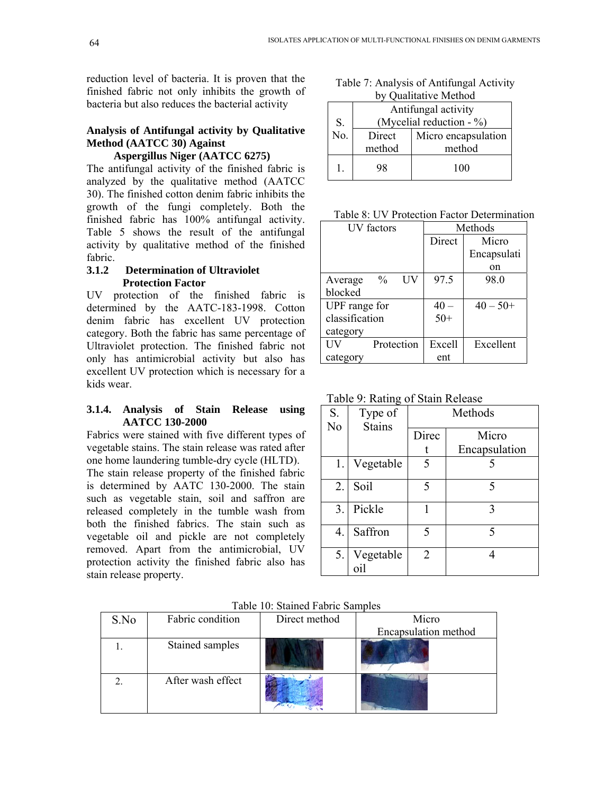reduction level of bacteria. It is proven that the finished fabric not only inhibits the growth of bacteria but also reduces the bacterial activity

# **Analysis of Antifungal activity by Qualitative Method (AATCC 30) Against**

# **Aspergillus Niger (AATCC 6275)**

The antifungal activity of the finished fabric is analyzed by the qualitative method (AATCC 30). The finished cotton denim fabric inhibits the growth of the fungi completely. Both the finished fabric has 100% antifungal activity. Table 5 shows the result of the antifungal activity by qualitative method of the finished fabric.

## **3.1.2 Determination of Ultraviolet Protection Factor**

UV protection of the finished fabric is determined by the AATC-183-1998. Cotton denim fabric has excellent UV protection category. Both the fabric has same percentage of Ultraviolet protection. The finished fabric not only has antimicrobial activity but also has excellent UV protection which is necessary for a kids wear.

## **3.1.4. Analysis of Stain Release using AATCC 130-2000**

Fabrics were stained with five different types of vegetable stains. The stain release was rated after one home laundering tumble-dry cycle (HLTD).

The stain release property of the finished fabric is determined by AATC 130-2000. The stain such as vegetable stain, soil and saffron are released completely in the tumble wash from both the finished fabrics. The stain such as vegetable oil and pickle are not completely removed. Apart from the antimicrobial, UV protection activity the finished fabric also has stain release property.

Table 7: Analysis of Antifungal Activity by Qualitative Method

|                   | Antifungal activity        |                     |  |
|-------------------|----------------------------|---------------------|--|
| S.                | (Mycelial reduction $-$ %) |                     |  |
| $\overline{No}$ . | Direct                     | Micro encapsulation |  |
|                   | method                     | method              |  |
|                   | 98                         | 100                 |  |

Table 8: UV Protection Factor Determination

| <b>IJV</b> factors    |        | Methods     |
|-----------------------|--------|-------------|
|                       | Direct | Micro       |
|                       |        | Encapsulati |
|                       |        | on          |
| $\%$<br>UV<br>Average | 97.5   | 98.0        |
| blocked               |        |             |
| UPF range for         | $40 -$ | $40 - 50+$  |
| classification        | $50+$  |             |
| category              |        |             |
| Protection            | Excell | Excellent   |
| category              | ent    |             |

Table 9: Rating of Stain Release

| S. | Type of          | Methods        |               |  |
|----|------------------|----------------|---------------|--|
| No | <b>Stains</b>    | Direc          | Micro         |  |
|    |                  |                | Encapsulation |  |
| 1. | Vegetable        | 5              |               |  |
| 2. | Soil             | 5              | 5             |  |
| 3. | Pickle           | 1              | 3             |  |
| 4. | Saffron          | 5              | 5             |  |
| 5. | Vegetable<br>ni1 | $\overline{2}$ |               |  |

|  |  |  |  | Table 10: Stained Fabric Samples |
|--|--|--|--|----------------------------------|
|--|--|--|--|----------------------------------|

| S.No | Fabric condition  | Direct method | Micro                |
|------|-------------------|---------------|----------------------|
|      |                   |               | Encapsulation method |
|      | Stained samples   |               |                      |
|      | After wash effect |               |                      |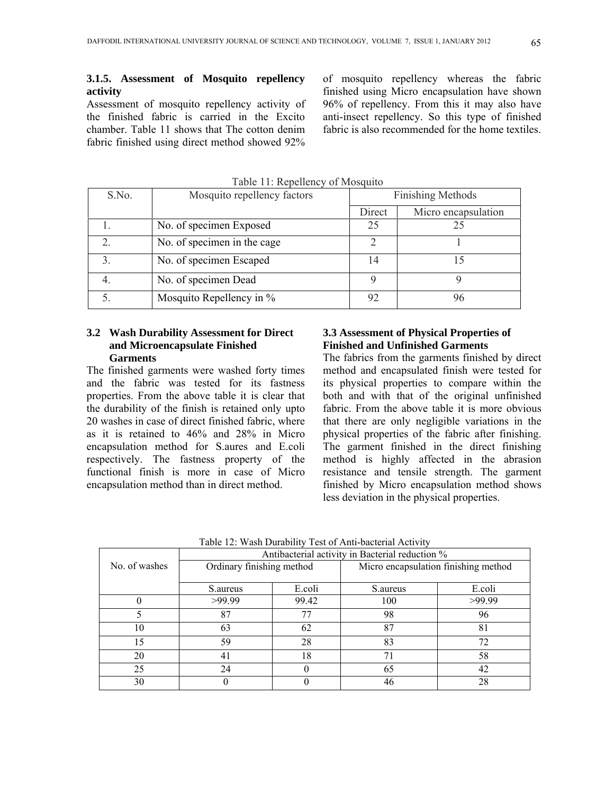Assessment of mosquito repellency activity of the finished fabric is carried in the Excito chamber. Table 11 shows that The cotton denim fabric finished using direct method showed 92%

of mosquito repellency whereas the fabric finished using Micro encapsulation have shown 96% of repellency. From this it may also have anti-insect repellency. So this type of finished fabric is also recommended for the home textiles

| S.No.         | Mosquito repellency factors | <b>Finishing Methods</b> |                     |  |
|---------------|-----------------------------|--------------------------|---------------------|--|
|               |                             | Direct                   | Micro encapsulation |  |
|               | No. of specimen Exposed     | 25                       |                     |  |
|               | No. of specimen in the cage |                          |                     |  |
| $\mathcal{E}$ | No. of specimen Escaped     | 14                       |                     |  |
|               | No. of specimen Dead        |                          |                     |  |
|               | Mosquito Repellency in %    | 92                       | 96                  |  |

 $Table 11: Renellency of Mosauito$ 

## **3.2 Wash Durability Assessment for Direct and Microencapsulate Finished Garments**

The finished garments were washed forty times and the fabric was tested for its fastness properties. From the above table it is clear that the durability of the finish is retained only upto 20 washes in case of direct finished fabric, where as it is retained to 46% and 28% in Micro encapsulation method for S.aures and E.coli respectively. The fastness property of the functional finish is more in case of Micro encapsulation method than in direct method.

## **3.3 Assessment of Physical Properties of Finished and Unfinished Garments**

The fabrics from the garments finished by direct method and encapsulated finish were tested for its physical properties to compare within the both and with that of the original unfinished fabric. From the above table it is more obvious that there are only negligible variations in the physical properties of the fabric after finishing. The garment finished in the direct finishing method is highly affected in the abrasion resistance and tensile strength. The garment finished by Micro encapsulation method shows less deviation in the physical properties.

|               | Antibacterial activity in Bacterial reduction % |        |                                      |        |  |
|---------------|-------------------------------------------------|--------|--------------------------------------|--------|--|
| No. of washes | Ordinary finishing method                       |        | Micro encapsulation finishing method |        |  |
|               | S.aureus                                        | E.coli | S.aureus                             | E.coli |  |
|               | >99.99                                          | 99.42  | 100                                  | >99.99 |  |
| 5             | 87                                              | 77     | 98                                   | 96     |  |
| 10            | 63                                              | 62     | 87                                   | 81     |  |
| 15            | 59                                              | 28     | 83                                   | 72     |  |
| 20            |                                                 | 18     | 71                                   | 58     |  |
| 25            | 24                                              |        | 65                                   | 42     |  |
| 30            |                                                 |        | 46                                   | 28     |  |

Table 12: Wash Durability Test of Anti-bacterial Activity